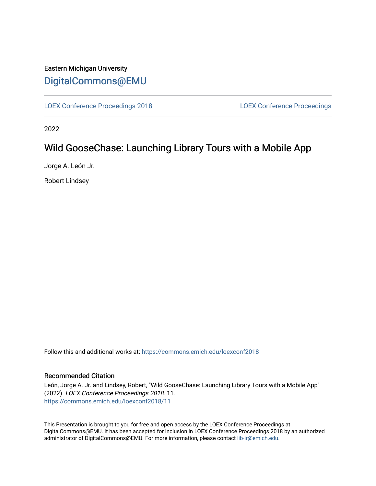## Eastern Michigan University [DigitalCommons@EMU](https://commons.emich.edu/)

[LOEX Conference Proceedings 2018](https://commons.emich.edu/loexconf2018) [LOEX Conference Proceedings](https://commons.emich.edu/loexconf) 

2022

# Wild GooseChase: Launching Library Tours with a Mobile App

Jorge A. León Jr.

Robert Lindsey

Follow this and additional works at: [https://commons.emich.edu/loexconf2018](https://commons.emich.edu/loexconf2018?utm_source=commons.emich.edu%2Floexconf2018%2F11&utm_medium=PDF&utm_campaign=PDFCoverPages) 

### Recommended Citation

León, Jorge A. Jr. and Lindsey, Robert, "Wild GooseChase: Launching Library Tours with a Mobile App" (2022). LOEX Conference Proceedings 2018. 11. [https://commons.emich.edu/loexconf2018/11](https://commons.emich.edu/loexconf2018/11?utm_source=commons.emich.edu%2Floexconf2018%2F11&utm_medium=PDF&utm_campaign=PDFCoverPages)

This Presentation is brought to you for free and open access by the LOEX Conference Proceedings at DigitalCommons@EMU. It has been accepted for inclusion in LOEX Conference Proceedings 2018 by an authorized administrator of DigitalCommons@EMU. For more information, please contact [lib-ir@emich.edu](mailto:lib-ir@emich.edu).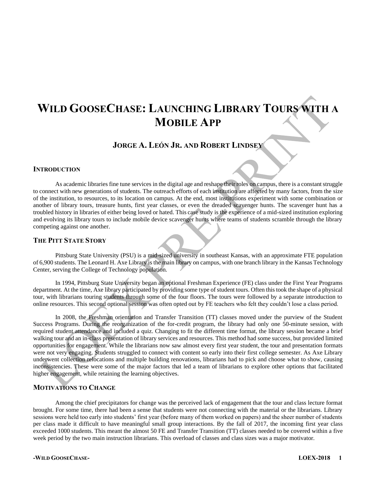# **WILD GOOSECHASE: LAUNCHING LIBRARY TOURS WITH A MOBILE APP**

**JORGE A. LEÓN JR. AND ROBERT LINDSEY**

### **INTRODUCTION**

As academic libraries fine tune services in the digital age and reshape their roles on campus, there is a constant struggle to connect with new generations of students. The outreach efforts of each institution are affected by many factors, from the size of the institution, to resources, to its location on campus. At the end, most institutions experiment with some combination or another of library tours, treasure hunts, first year classes, or even the dreaded scavenger hunts. The scavenger hunt has a troubled history in libraries of either being loved or hated. This case study is the experience of a mid-sized institution exploring and evolving its library tours to include mobile device scavenger hunts where teams of students scramble through the library competing against one another.

### **THE PITT STATE STORY**

Pittsburg State University (PSU) is a mid-sized university in southeast Kansas, with an approximate FTE population of 6,900 students. The Leonard H. Axe Library is the main library on campus, with one branch library in the Kansas Technology Center, serving the College of Technology population.

In 1994, Pittsburg State University began an optional Freshman Experience (FE) class under the First Year Programs department. At the time, Axe library participated by providing some type of student tours. Often this took the shape of a physical tour, with librarians touring students through some of the four floors. The tours were followed by a separate introduction to online resources. This second optional session was often opted out by FE teachers who felt they couldn't lose a class period.

In 2008, the Freshman orientation and Transfer Transition (TT) classes moved under the purview of the Student Success Programs. During the reorganization of the for-credit program, the library had only one 50-minute session, with required student attendance and included a quiz. Changing to fit the different time format, the library session became a brief walking tour and an in-class presentation of library services and resources. This method had some success, but provided limited opportunities for engagement. While the librarians now saw almost every first year student, the tour and presentation formats were not very engaging. Students struggled to connect with content so early into their first college semester. As Axe Library underwent collection relocations and multiple building renovations, librarians had to pick and choose what to show, causing inconsistencies. These were some of the major factors that led a team of librarians to explore other options that facilitated higher engagement, while retaining the learning objectives.

### **MOTIVATIONS TO CHANGE**

Among the chief precipitators for change was the perceived lack of engagement that the tour and class lecture format brought. For some time, there had been a sense that students were not connecting with the material or the librarians. Library sessions were held too early into students' first year (before many of them worked on papers) and the sheer number of students per class made it difficult to have meaningful small group interactions. By the fall of 2017, the incoming first year class exceeded 1000 students. This meant the almost 50 FE and Transfer Transition (TT) classes needed to be covered within a five week period by the two main instruction librarians. This overload of classes and class sizes was a major motivator.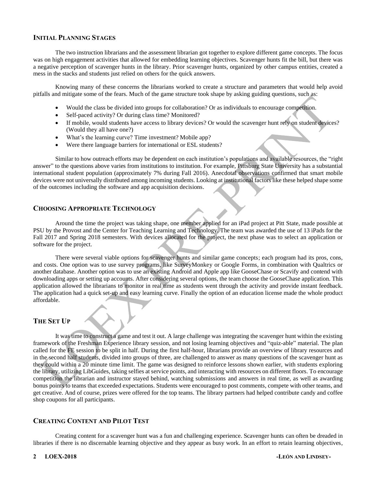### **INITIAL PLANNING STAGES**

The two instruction librarians and the assessment librarian got together to explore different game concepts. The focus was on high engagement activities that allowed for embedding learning objectives. Scavenger hunts fit the bill, but there was a negative perception of scavenger hunts in the library. Prior scavenger hunts, organized by other campus entities, created a mess in the stacks and students just relied on others for the quick answers.

Knowing many of these concerns the librarians worked to create a structure and parameters that would help avoid pitfalls and mitigate some of the fears. Much of the game structure took shape by asking guiding questions, such as:

- Would the class be divided into groups for collaboration? Or as individuals to encourage competition.
- Self-paced activity? Or during class time? Monitored?
- If mobile, would students have access to library devices? Or would the scavenger hunt rely on student devices? (Would they all have one?)
- What's the learning curve? Time investment? Mobile app?
- Were there language barriers for international or ESL students?

Similar to how outreach efforts may be dependent on each institution's populations and available resources, the "right answer" to the questions above varies from institutions to institution. For example, Pittsburg State University has a substantial international student population (approximately 7% during Fall 2016). Anecdotal observations confirmed that smart mobile devices were not universally distributed among incoming students. Looking at institutional factors like these helped shape some of the outcomes including the software and app acquisition decisions.

### **CHOOSING APPROPRIATE TECHNOLOGY**

Around the time the project was taking shape, one member applied for an iPad project at Pitt State, made possible at PSU by the Provost and the Center for Teaching Learning and Technology. The team was awarded the use of 13 iPads for the Fall 2017 and Spring 2018 semesters. With devices allocated for the project, the next phase was to select an application or software for the project.

There were several viable options for scavenger hunts and similar game concepts; each program had its pros, cons, and costs. One option was to use survey programs, like SurveyMonkey or Google Forms, in combination with Qualtrics or another database. Another option was to use an existing Android and Apple app like GooseChase or Scavify and contend with downloading apps or setting up accounts. After considering several options, the team choose the GooseChase application. This application allowed the librarians to monitor in real time as students went through the activity and provide instant feedback. The application had a quick set-up and easy learning curve. Finally the option of an education license made the whole product affordable.

### **THE SET UP**

It was time to construct a game and test it out. A large challenge was integrating the scavenger hunt within the existing framework of the Freshman Experience library session, and not losing learning objectives and "quiz-able" material. The plan called for the FE session to be split in half. During the first half-hour, librarians provide an overview of library resources and in the second half students, divided into groups of three, are challenged to answer as many questions of the scavenger hunt as they could within a 20 minute time limit. The game was designed to reinforce lessons shown earlier, with students exploring the library, utilizing LibGuides, taking selfies at service points, and interacting with resources on different floors. To encourage competition the librarian and instructor stayed behind, watching submissions and answers in real time, as well as awarding bonus points to teams that exceeded expectations. Students were encouraged to post comments, compete with other teams, and get creative. And of course, prizes were offered for the top teams. The library partners had helped contribute candy and coffee shop coupons for all participants.

### **CREATING CONTENT AND PILOT TEST**

Creating content for a scavenger hunt was a fun and challenging experience. Scavenger hunts can often be dreaded in libraries if there is no discernable learning objective and they appear as busy work. In an effort to retain learning objectives,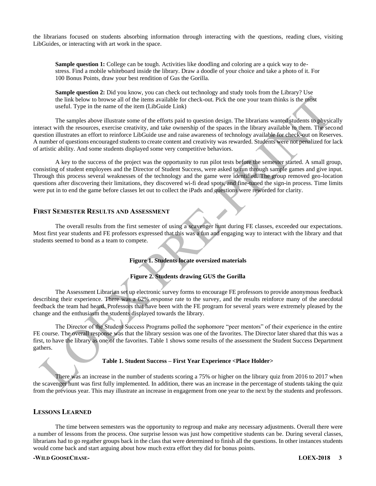the librarians focused on students absorbing information through interacting with the questions, reading clues, visiting LibGuides, or interacting with art work in the space.

**Sample question 1:** College can be tough. Activities like doodling and coloring are a quick way to destress. Find a mobile whiteboard inside the library. Draw a doodle of your choice and take a photo of it. For 100 Bonus Points, draw your best rendition of Gus the Gorilla.

**Sample question 2:** Did you know, you can check out technology and study tools from the Library? Use the link below to browse all of the items available for check-out. Pick the one your team thinks is the most useful. Type in the name of the item (LibGuide Link)

The samples above illustrate some of the efforts paid to question design. The librarians wanted students to physically interact with the resources, exercise creativity, and take ownership of the spaces in the library available to them. The second question illustrates an effort to reinforce LibGuide use and raise awareness of technology available for check-out on Reserves. A number of questions encouraged students to create content and creativity was rewarded. Students were not penalized for lack of artistic ability. And some students displayed some very competitive behaviors.

A key to the success of the project was the opportunity to run pilot tests before the semester started. A small group, consisting of student employees and the Director of Student Success, were asked to run through sample games and give input. Through this process several weaknesses of the technology and the game were identified. The group removed geo-location questions after discovering their limitations, they discovered wi-fi dead spots, and fine-tuned the sign-in process. Time limits were put in to end the game before classes let out to collect the iPads and questions were reworded for clarity.

### **FIRST SEMESTER RESULTS AND ASSESSMENT**

The overall results from the first semester of using a scavenger hunt during FE classes, exceeded our expectations. Most first year students and FE professors expressed that this was a fun and engaging way to interact with the library and that students seemed to bond as a team to compete.

### **Figure 1. Students locate oversized materials**

### **Figure 2. Students drawing GUS the Gorilla**

The Assessment Librarian set up electronic survey forms to encourage FE professors to provide anonymous feedback describing their experience. There was a 62% response rate to the survey, and the results reinforce many of the anecdotal feedback the team had heard. Professors that have been with the FE program for several years were extremely pleased by the change and the enthusiasm the students displayed towards the library.

The Director of the Student Success Programs polled the sophomore "peer mentors" of their experience in the entire FE course. The overall response was that the library session was one of the favorites. The Director later shared that this was a first, to have the library as one of the favorites. Table 1 shows some results of the assessment the Student Success Department gathers.

### **Table 1. Student Success – First Year Experience <Place Holder>**

There was an increase in the number of students scoring a 75% or higher on the library quiz from 2016 to 2017 when the scavenger hunt was first fully implemented. In addition, there was an increase in the percentage of students taking the quiz from the previous year. This may illustrate an increase in engagement from one year to the next by the students and professors.

### **LESSONS LEARNED**

The time between semesters was the opportunity to regroup and make any necessary adjustments. Overall there were a number of lessons from the process. One surprise lesson was just how competitive students can be. During several classes, librarians had to go regather groups back in the class that were determined to finish all the questions. In other instances students would come back and start arguing about how much extra effort they did for bonus points.

### **-WILD GOOSECHASE- LOEX-2018 3**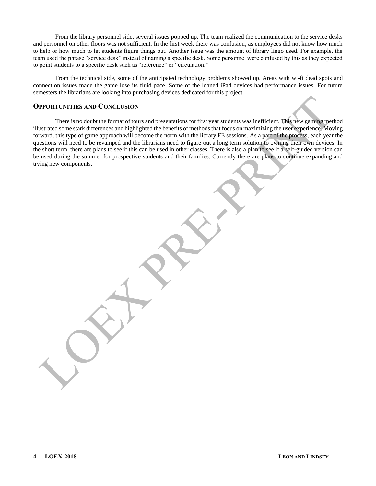From the library personnel side, several issues popped up. The team realized the communication to the service desks and personnel on other floors was not sufficient. In the first week there was confusion, as employees did not know how much to help or how much to let students figure things out. Another issue was the amount of library lingo used. For example, the team used the phrase "service desk" instead of naming a specific desk. Some personnel were confused by this as they expected to point students to a specific desk such as "reference" or "circulation."

From the technical side, some of the anticipated technology problems showed up. Areas with wi-fi dead spots and connection issues made the game lose its fluid pace. Some of the loaned iPad devices had performance issues. For future semesters the librarians are looking into purchasing devices dedicated for this project.

### **OPPORTUNITIES AND CONCLUSION**

There is no doubt the format of tours and presentations for first year students was inefficient. This new gaming method illustrated some stark differences and highlighted the benefits of methods that focus on maximizing the user experience. Moving forward, this type of game approach will become the norm with the library FE sessions. As a part of the process, each year the questions will need to be revamped and the librarians need to figure out a long term solution to owning their own devices. In the short term, there are plans to see if this can be used in other classes. There is also a plan to see if a self-guided version can be used during the summer for prospective students and their families. Currently there are plans to continue expanding and trying new components.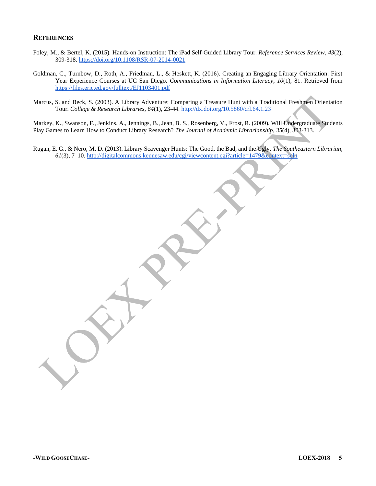### **REFERENCES**

- Foley, M., & Bertel, K. (2015). Hands-on Instruction: The iPad Self-Guided Library Tour. *Reference Services Review*, *43*(2), 309-318.<https://doi.org/10.1108/RSR-07-2014-0021>
- Goldman, C., Turnbow, D., Roth, A., Friedman, L., & Heskett, K. (2016). Creating an Engaging Library Orientation: First Year Experience Courses at UC San Diego. *Communications in Information Literacy*, *10*(1), 81. Retrieved from <https://files.eric.ed.gov/fulltext/EJ1103401.pdf>
- Marcus, S. and Beck, S. (2003). A Library Adventure: Comparing a Treasure Hunt with a Traditional Freshmen Orientation Tour. *College & Research Libraries, 64*(1), 23-44.<http://dx.doi.org/10.5860/crl.64.1.23>

Markey, K., Swanson, F., Jenkins, A., Jennings, B., Jean, B. S., Rosenberg, V., Frost, R. (2009). Will Undergraduate Students Play Games to Learn How to Conduct Library Research? *The Journal of Academic Librarianship*, *35*(4), 303-313.

Rugan, E. G., & Nero, M. D. (2013). Library Scavenger Hunts: The Good, the Bad, and the Ugly. *The Southeastern Librarian*, *61*(3), 7–10[. http://digitalcommons.kennesaw.edu/cgi/viewcontent.cgi?article=1479&context=seln](http://digitalcommons.kennesaw.edu/cgi/viewcontent.cgi?article=1479&context=seln)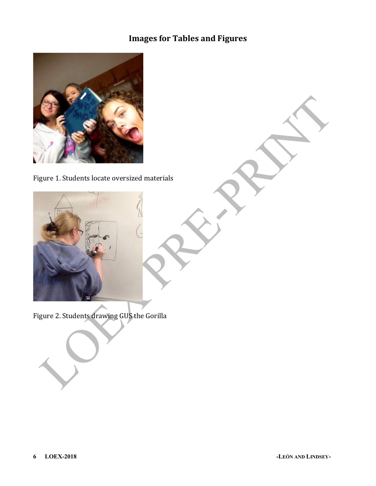# **Images for Tables and Figures**



Figure 1. Students locate oversized materials



Figure 2. Students drawing GUS the Gorilla